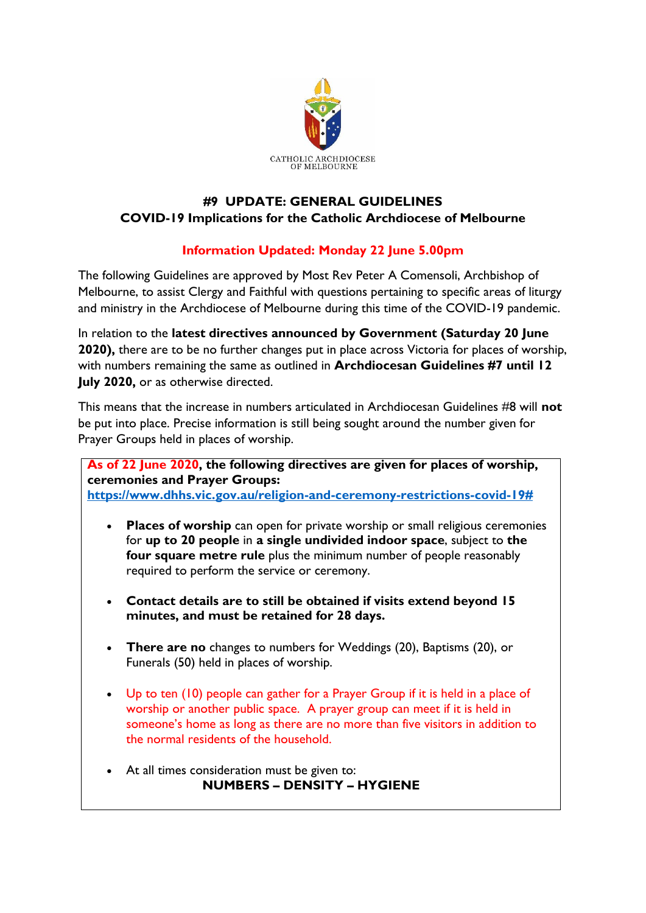

## **#9 UPDATE: GENERAL GUIDELINES COVID-19 Implications for the Catholic Archdiocese of Melbourne**

## **Information Updated: Monday 22 June 5.00pm**

The following Guidelines are approved by Most Rev Peter A Comensoli, Archbishop of Melbourne, to assist Clergy and Faithful with questions pertaining to specific areas of liturgy and ministry in the Archdiocese of Melbourne during this time of the COVID-19 pandemic.

In relation to the **latest directives announced by Government (Saturday 20 June 2020),** there are to be no further changes put in place across Victoria for places of worship, with numbers remaining the same as outlined in **Archdiocesan Guidelines #7 until 12 July 2020,** or as otherwise directed.

This means that the increase in numbers articulated in Archdiocesan Guidelines #8 will **not**  be put into place. Precise information is still being sought around the number given for Prayer Groups held in places of worship.

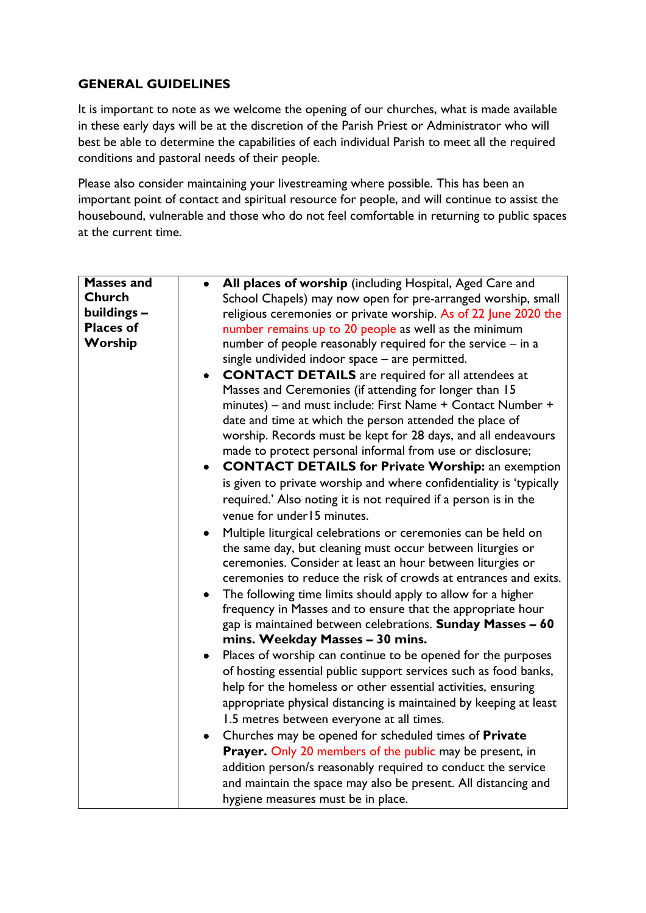## **GENERAL GUIDELINES**

It is important to note as we welcome the opening of our churches, what is made available in these early days will be at the discretion of the Parish Priest or Administrator who will best be able to determine the capabilities of each individual Parish to meet all the required conditions and pastoral needs of their people.

Please also consider maintaining your livestreaming where possible. This has been an important point of contact and spiritual resource for people, and will continue to assist the housebound, vulnerable and those who do not feel comfortable in returning to public spaces at the current time.

| <b>Masses and</b> | All places of worship (including Hospital, Aged Care and                                             |
|-------------------|------------------------------------------------------------------------------------------------------|
| Church            | School Chapels) may now open for pre-arranged worship, small                                         |
| buildings -       | religious ceremonies or private worship. As of 22 June 2020 the                                      |
| <b>Places of</b>  | number remains up to 20 people as well as the minimum                                                |
| Worship           | number of people reasonably required for the service - in a                                          |
|                   | single undivided indoor space - are permitted.                                                       |
|                   | <b>CONTACT DETAILS</b> are required for all attendees at                                             |
|                   | Masses and Ceremonies (if attending for longer than 15                                               |
|                   | minutes) – and must include: First Name + Contact Number +                                           |
|                   | date and time at which the person attended the place of                                              |
|                   | worship. Records must be kept for 28 days, and all endeavours                                        |
|                   | made to protect personal informal from use or disclosure;                                            |
|                   | <b>CONTACT DETAILS for Private Worship: an exemption</b>                                             |
|                   | is given to private worship and where confidentiality is 'typically                                  |
|                   | required.' Also noting it is not required if a person is in the                                      |
|                   | venue for under 15 minutes.                                                                          |
|                   | Multiple liturgical celebrations or ceremonies can be held on                                        |
|                   | the same day, but cleaning must occur between liturgies or                                           |
|                   | ceremonies. Consider at least an hour between liturgies or                                           |
|                   | ceremonies to reduce the risk of crowds at entrances and exits.                                      |
|                   | The following time limits should apply to allow for a higher<br>$\bullet$                            |
|                   | frequency in Masses and to ensure that the appropriate hour                                          |
|                   | gap is maintained between celebrations. Sunday Masses - 60                                           |
|                   | mins. Weekday Masses - 30 mins.                                                                      |
|                   | Places of worship can continue to be opened for the purposes                                         |
|                   | of hosting essential public support services such as food banks,                                     |
|                   | help for the homeless or other essential activities, ensuring                                        |
|                   | appropriate physical distancing is maintained by keeping at least                                    |
|                   | 1.5 metres between everyone at all times.                                                            |
|                   | Churches may be opened for scheduled times of Private                                                |
|                   | Prayer. Only 20 members of the public may be present, in                                             |
|                   | addition person/s reasonably required to conduct the service                                         |
|                   |                                                                                                      |
|                   |                                                                                                      |
|                   | and maintain the space may also be present. All distancing and<br>hygiene measures must be in place. |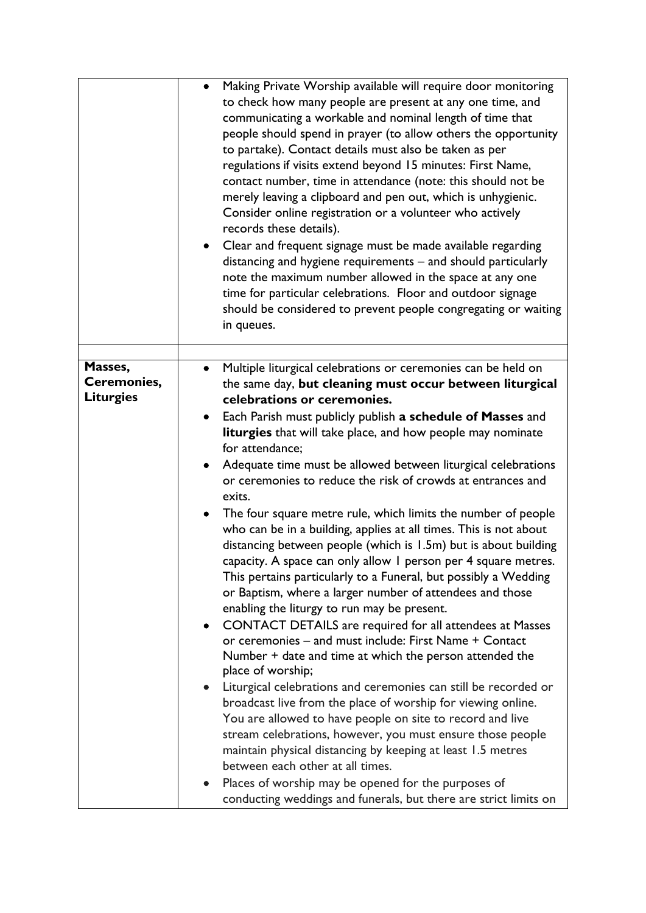|                                 | Making Private Worship available will require door monitoring<br>$\bullet$<br>to check how many people are present at any one time, and<br>communicating a workable and nominal length of time that<br>people should spend in prayer (to allow others the opportunity<br>to partake). Contact details must also be taken as per<br>regulations if visits extend beyond 15 minutes: First Name,<br>contact number, time in attendance (note: this should not be<br>merely leaving a clipboard and pen out, which is unhygienic.<br>Consider online registration or a volunteer who actively<br>records these details).<br>Clear and frequent signage must be made available regarding<br>$\bullet$<br>distancing and hygiene requirements - and should particularly<br>note the maximum number allowed in the space at any one<br>time for particular celebrations. Floor and outdoor signage<br>should be considered to prevent people congregating or waiting<br>in queues.                                                                                                                                |
|---------------------------------|-------------------------------------------------------------------------------------------------------------------------------------------------------------------------------------------------------------------------------------------------------------------------------------------------------------------------------------------------------------------------------------------------------------------------------------------------------------------------------------------------------------------------------------------------------------------------------------------------------------------------------------------------------------------------------------------------------------------------------------------------------------------------------------------------------------------------------------------------------------------------------------------------------------------------------------------------------------------------------------------------------------------------------------------------------------------------------------------------------------|
| Masses,                         | Multiple liturgical celebrations or ceremonies can be held on                                                                                                                                                                                                                                                                                                                                                                                                                                                                                                                                                                                                                                                                                                                                                                                                                                                                                                                                                                                                                                               |
| Ceremonies,<br><b>Liturgies</b> | the same day, but cleaning must occur between liturgical<br>celebrations or ceremonies.<br>Each Parish must publicly publish a schedule of Masses and<br>$\bullet$<br>liturgies that will take place, and how people may nominate<br>for attendance;<br>Adequate time must be allowed between liturgical celebrations<br>$\bullet$<br>or ceremonies to reduce the risk of crowds at entrances and<br>exits.<br>The four square metre rule, which limits the number of people<br>$\bullet$<br>who can be in a building, applies at all times. This is not about<br>distancing between people (which is 1.5m) but is about building<br>capacity. A space can only allow I person per 4 square metres.<br>This pertains particularly to a Funeral, but possibly a Wedding<br>or Baptism, where a larger number of attendees and those<br>enabling the liturgy to run may be present.<br><b>CONTACT DETAILS</b> are required for all attendees at Masses<br>$\bullet$<br>or ceremonies - and must include: First Name + Contact<br>Number + date and time at which the person attended the<br>place of worship; |
|                                 | Liturgical celebrations and ceremonies can still be recorded or<br>broadcast live from the place of worship for viewing online.<br>You are allowed to have people on site to record and live<br>stream celebrations, however, you must ensure those people<br>maintain physical distancing by keeping at least 1.5 metres<br>between each other at all times.<br>Places of worship may be opened for the purposes of<br>$\bullet$<br>conducting weddings and funerals, but there are strict limits on                                                                                                                                                                                                                                                                                                                                                                                                                                                                                                                                                                                                       |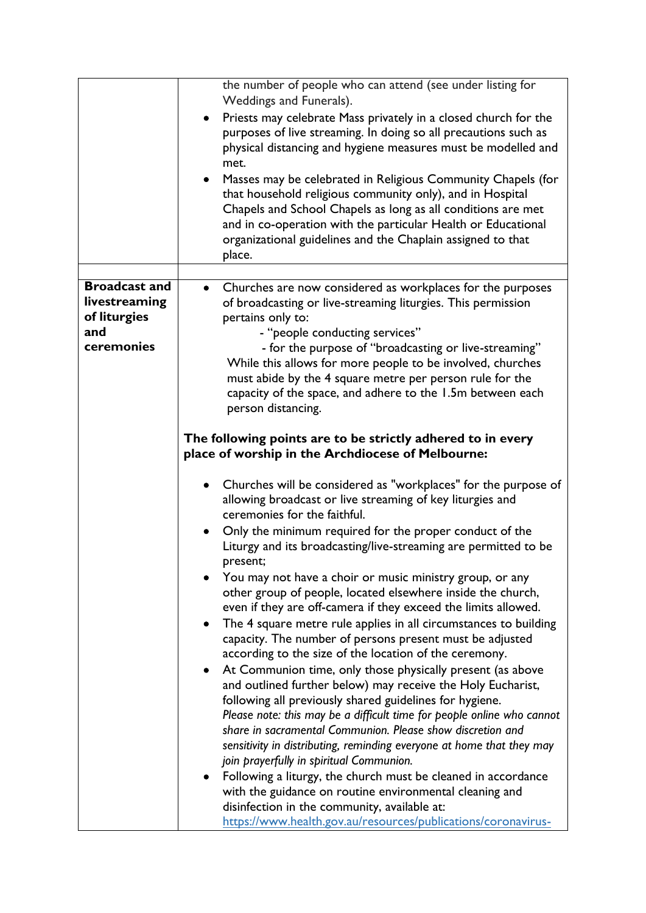|                                       | the number of people who can attend (see under listing for<br>Weddings and Funerals).<br>Priests may celebrate Mass privately in a closed church for the<br>$\bullet$<br>purposes of live streaming. In doing so all precautions such as<br>physical distancing and hygiene measures must be modelled and<br>met.<br>Masses may be celebrated in Religious Community Chapels (for<br>$\bullet$<br>that household religious community only), and in Hospital<br>Chapels and School Chapels as long as all conditions are met<br>and in co-operation with the particular Health or Educational<br>organizational guidelines and the Chaplain assigned to that<br>place. |
|---------------------------------------|-----------------------------------------------------------------------------------------------------------------------------------------------------------------------------------------------------------------------------------------------------------------------------------------------------------------------------------------------------------------------------------------------------------------------------------------------------------------------------------------------------------------------------------------------------------------------------------------------------------------------------------------------------------------------|
|                                       |                                                                                                                                                                                                                                                                                                                                                                                                                                                                                                                                                                                                                                                                       |
| <b>Broadcast and</b><br>livestreaming | Churches are now considered as workplaces for the purposes<br>$\bullet$<br>of broadcasting or live-streaming liturgies. This permission                                                                                                                                                                                                                                                                                                                                                                                                                                                                                                                               |
| of liturgies                          | pertains only to:                                                                                                                                                                                                                                                                                                                                                                                                                                                                                                                                                                                                                                                     |
| and                                   | - "people conducting services"                                                                                                                                                                                                                                                                                                                                                                                                                                                                                                                                                                                                                                        |
| ceremonies                            | - for the purpose of "broadcasting or live-streaming"                                                                                                                                                                                                                                                                                                                                                                                                                                                                                                                                                                                                                 |
|                                       | While this allows for more people to be involved, churches                                                                                                                                                                                                                                                                                                                                                                                                                                                                                                                                                                                                            |
|                                       | must abide by the 4 square metre per person rule for the                                                                                                                                                                                                                                                                                                                                                                                                                                                                                                                                                                                                              |
|                                       | capacity of the space, and adhere to the 1.5m between each                                                                                                                                                                                                                                                                                                                                                                                                                                                                                                                                                                                                            |
|                                       | person distancing.                                                                                                                                                                                                                                                                                                                                                                                                                                                                                                                                                                                                                                                    |
|                                       | The following points are to be strictly adhered to in every                                                                                                                                                                                                                                                                                                                                                                                                                                                                                                                                                                                                           |
|                                       | place of worship in the Archdiocese of Melbourne:                                                                                                                                                                                                                                                                                                                                                                                                                                                                                                                                                                                                                     |
|                                       |                                                                                                                                                                                                                                                                                                                                                                                                                                                                                                                                                                                                                                                                       |
|                                       | Churches will be considered as "workplaces" for the purpose of                                                                                                                                                                                                                                                                                                                                                                                                                                                                                                                                                                                                        |
|                                       | allowing broadcast or live streaming of key liturgies and                                                                                                                                                                                                                                                                                                                                                                                                                                                                                                                                                                                                             |
|                                       | ceremonies for the faithful.                                                                                                                                                                                                                                                                                                                                                                                                                                                                                                                                                                                                                                          |
|                                       | Only the minimum required for the proper conduct of the<br>Liturgy and its broadcasting/live-streaming are permitted to be                                                                                                                                                                                                                                                                                                                                                                                                                                                                                                                                            |
|                                       | present;                                                                                                                                                                                                                                                                                                                                                                                                                                                                                                                                                                                                                                                              |
|                                       | You may not have a choir or music ministry group, or any                                                                                                                                                                                                                                                                                                                                                                                                                                                                                                                                                                                                              |
|                                       | other group of people, located elsewhere inside the church,                                                                                                                                                                                                                                                                                                                                                                                                                                                                                                                                                                                                           |
|                                       | even if they are off-camera if they exceed the limits allowed.                                                                                                                                                                                                                                                                                                                                                                                                                                                                                                                                                                                                        |
|                                       | The 4 square metre rule applies in all circumstances to building<br>$\bullet$                                                                                                                                                                                                                                                                                                                                                                                                                                                                                                                                                                                         |
|                                       | capacity. The number of persons present must be adjusted                                                                                                                                                                                                                                                                                                                                                                                                                                                                                                                                                                                                              |
|                                       | according to the size of the location of the ceremony.                                                                                                                                                                                                                                                                                                                                                                                                                                                                                                                                                                                                                |
|                                       | At Communion time, only those physically present (as above<br>$\bullet$                                                                                                                                                                                                                                                                                                                                                                                                                                                                                                                                                                                               |
|                                       | and outlined further below) may receive the Holy Eucharist,                                                                                                                                                                                                                                                                                                                                                                                                                                                                                                                                                                                                           |
|                                       | following all previously shared guidelines for hygiene.<br>Please note: this may be a difficult time for people online who cannot                                                                                                                                                                                                                                                                                                                                                                                                                                                                                                                                     |
|                                       | share in sacramental Communion. Please show discretion and                                                                                                                                                                                                                                                                                                                                                                                                                                                                                                                                                                                                            |
|                                       | sensitivity in distributing, reminding everyone at home that they may                                                                                                                                                                                                                                                                                                                                                                                                                                                                                                                                                                                                 |
|                                       | join prayerfully in spiritual Communion.                                                                                                                                                                                                                                                                                                                                                                                                                                                                                                                                                                                                                              |
|                                       | Following a liturgy, the church must be cleaned in accordance                                                                                                                                                                                                                                                                                                                                                                                                                                                                                                                                                                                                         |
|                                       | with the guidance on routine environmental cleaning and                                                                                                                                                                                                                                                                                                                                                                                                                                                                                                                                                                                                               |
|                                       | disinfection in the community, available at:                                                                                                                                                                                                                                                                                                                                                                                                                                                                                                                                                                                                                          |
|                                       | https://www.health.gov.au/resources/publications/coronavirus-                                                                                                                                                                                                                                                                                                                                                                                                                                                                                                                                                                                                         |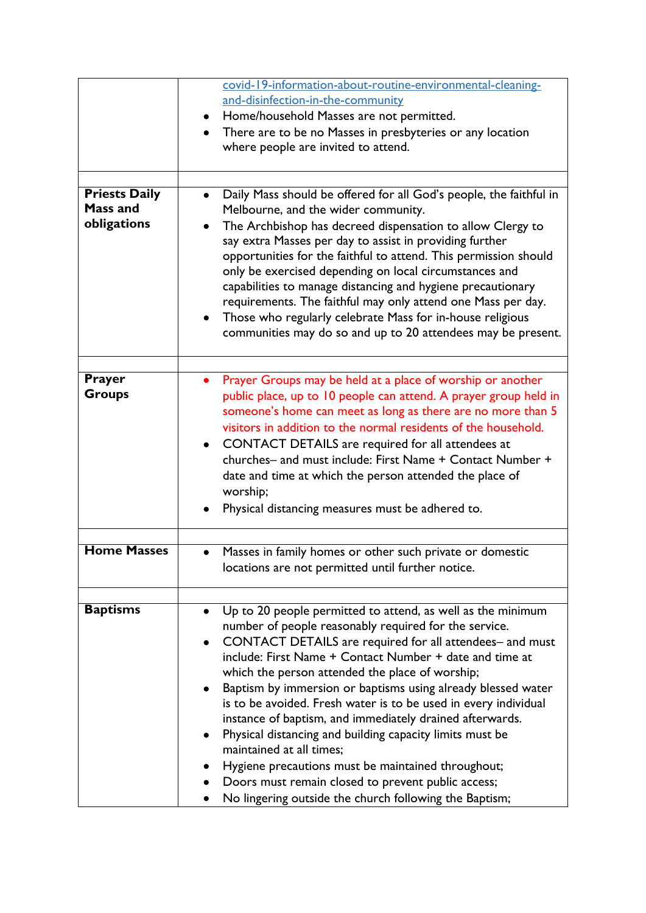|                      | covid-19-information-about-routine-environmental-cleaning-                                                                |
|----------------------|---------------------------------------------------------------------------------------------------------------------------|
|                      | and-disinfection-in-the-community                                                                                         |
|                      | Home/household Masses are not permitted.                                                                                  |
|                      | There are to be no Masses in presbyteries or any location                                                                 |
|                      | where people are invited to attend.                                                                                       |
|                      |                                                                                                                           |
|                      |                                                                                                                           |
| <b>Priests Daily</b> | Daily Mass should be offered for all God's people, the faithful in<br>$\bullet$                                           |
| <b>Mass and</b>      | Melbourne, and the wider community.                                                                                       |
| obligations          | The Archbishop has decreed dispensation to allow Clergy to                                                                |
|                      | say extra Masses per day to assist in providing further                                                                   |
|                      | opportunities for the faithful to attend. This permission should                                                          |
|                      | only be exercised depending on local circumstances and                                                                    |
|                      | capabilities to manage distancing and hygiene precautionary                                                               |
|                      | requirements. The faithful may only attend one Mass per day.<br>Those who regularly celebrate Mass for in-house religious |
|                      | communities may do so and up to 20 attendees may be present.                                                              |
|                      |                                                                                                                           |
|                      |                                                                                                                           |
| Prayer               | Prayer Groups may be held at a place of worship or another<br>$\bullet$                                                   |
| <b>Groups</b>        | public place, up to 10 people can attend. A prayer group held in                                                          |
|                      | someone's home can meet as long as there are no more than 5                                                               |
|                      | visitors in addition to the normal residents of the household.                                                            |
|                      | CONTACT DETAILS are required for all attendees at<br>$\bullet$                                                            |
|                      | churches- and must include: First Name + Contact Number +                                                                 |
|                      | date and time at which the person attended the place of                                                                   |
|                      | worship;                                                                                                                  |
|                      | Physical distancing measures must be adhered to.                                                                          |
|                      |                                                                                                                           |
| <b>Home Masses</b>   |                                                                                                                           |
|                      | Masses in family homes or other such private or domestic                                                                  |
|                      | locations are not permitted until further notice.                                                                         |
|                      |                                                                                                                           |
| <b>Baptisms</b>      | Up to 20 people permitted to attend, as well as the minimum<br>٠                                                          |
|                      | number of people reasonably required for the service.                                                                     |
|                      | CONTACT DETAILS are required for all attendees- and must                                                                  |
|                      | include: First Name + Contact Number + date and time at                                                                   |
|                      | which the person attended the place of worship;                                                                           |
|                      | Baptism by immersion or baptisms using already blessed water                                                              |
|                      | is to be avoided. Fresh water is to be used in every individual                                                           |
|                      | instance of baptism, and immediately drained afterwards.                                                                  |
|                      | Physical distancing and building capacity limits must be                                                                  |
|                      | maintained at all times;                                                                                                  |
|                      | Hygiene precautions must be maintained throughout;                                                                        |
|                      | Doors must remain closed to prevent public access;                                                                        |
|                      | No lingering outside the church following the Baptism;                                                                    |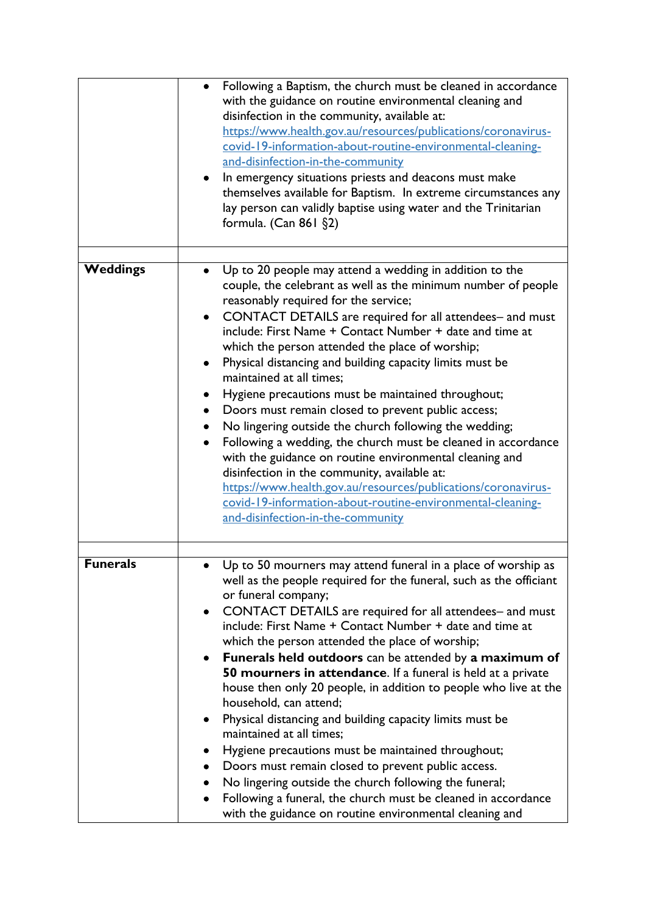|                 | Following a Baptism, the church must be cleaned in accordance<br>with the guidance on routine environmental cleaning and<br>disinfection in the community, available at:<br>https://www.health.gov.au/resources/publications/coronavirus-<br>covid-19-information-about-routine-environmental-cleaning-<br>and-disinfection-in-the-community<br>In emergency situations priests and deacons must make<br>themselves available for Baptism. In extreme circumstances any<br>lay person can validly baptise using water and the Trinitarian<br>formula. (Can 861 §2)                                                                                                                                                                                                                                                                                                                                                                                                                            |
|-----------------|-----------------------------------------------------------------------------------------------------------------------------------------------------------------------------------------------------------------------------------------------------------------------------------------------------------------------------------------------------------------------------------------------------------------------------------------------------------------------------------------------------------------------------------------------------------------------------------------------------------------------------------------------------------------------------------------------------------------------------------------------------------------------------------------------------------------------------------------------------------------------------------------------------------------------------------------------------------------------------------------------|
| <b>Weddings</b> | Up to 20 people may attend a wedding in addition to the<br>couple, the celebrant as well as the minimum number of people<br>reasonably required for the service;<br>CONTACT DETAILS are required for all attendees- and must<br>$\bullet$<br>include: First Name + Contact Number + date and time at<br>which the person attended the place of worship;<br>Physical distancing and building capacity limits must be<br>maintained at all times:<br>Hygiene precautions must be maintained throughout;<br>Doors must remain closed to prevent public access;<br>No lingering outside the church following the wedding;<br>Following a wedding, the church must be cleaned in accordance<br>$\bullet$<br>with the guidance on routine environmental cleaning and<br>disinfection in the community, available at:<br>https://www.health.gov.au/resources/publications/coronavirus-<br>covid-19-information-about-routine-environmental-cleaning-<br>and-disinfection-in-the-community            |
| Funerals        | Up to 50 mourners may attend funeral in a place of worship as<br>well as the people required for the funeral, such as the officiant<br>or funeral company;<br>CONTACT DETAILS are required for all attendees- and must<br>$\bullet$<br>include: First Name + Contact Number + date and time at<br>which the person attended the place of worship;<br>Funerals held outdoors can be attended by a maximum of<br>$\bullet$<br>50 mourners in attendance. If a funeral is held at a private<br>house then only 20 people, in addition to people who live at the<br>household, can attend;<br>Physical distancing and building capacity limits must be<br>maintained at all times;<br>Hygiene precautions must be maintained throughout;<br>Doors must remain closed to prevent public access.<br>No lingering outside the church following the funeral;<br>Following a funeral, the church must be cleaned in accordance<br>$\bullet$<br>with the guidance on routine environmental cleaning and |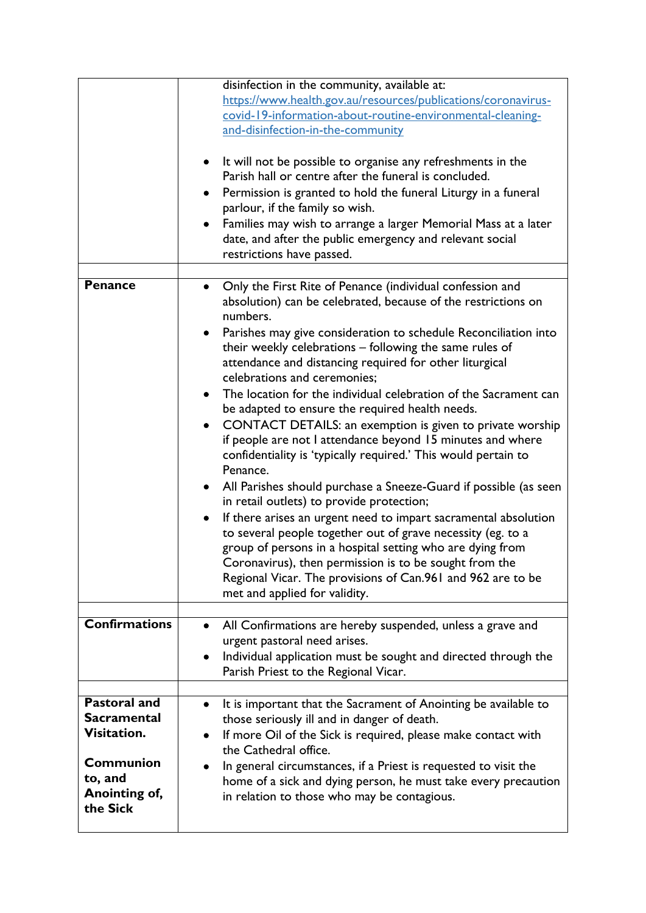|                      | disinfection in the community, available at:                                  |
|----------------------|-------------------------------------------------------------------------------|
|                      | https://www.health.gov.au/resources/publications/coronavirus-                 |
|                      | covid-19-information-about-routine-environmental-cleaning-                    |
|                      |                                                                               |
|                      | and-disinfection-in-the-community                                             |
|                      |                                                                               |
|                      | It will not be possible to organise any refreshments in the<br>٠              |
|                      | Parish hall or centre after the funeral is concluded.                         |
|                      | Permission is granted to hold the funeral Liturgy in a funeral<br>٠           |
|                      | parlour, if the family so wish.                                               |
|                      | Families may wish to arrange a larger Memorial Mass at a later                |
|                      |                                                                               |
|                      | date, and after the public emergency and relevant social                      |
|                      | restrictions have passed.                                                     |
|                      |                                                                               |
| <b>Penance</b>       | Only the First Rite of Penance (individual confession and                     |
|                      | absolution) can be celebrated, because of the restrictions on                 |
|                      | numbers.                                                                      |
|                      | Parishes may give consideration to schedule Reconciliation into<br>٠          |
|                      | their weekly celebrations - following the same rules of                       |
|                      |                                                                               |
|                      | attendance and distancing required for other liturgical                       |
|                      | celebrations and ceremonies;                                                  |
|                      | The location for the individual celebration of the Sacrament can<br>$\bullet$ |
|                      | be adapted to ensure the required health needs.                               |
|                      | CONTACT DETAILS: an exemption is given to private worship<br>$\bullet$        |
|                      | if people are not I attendance beyond 15 minutes and where                    |
|                      | confidentiality is 'typically required.' This would pertain to                |
|                      | Penance.                                                                      |
|                      |                                                                               |
|                      | All Parishes should purchase a Sneeze-Guard if possible (as seen<br>$\bullet$ |
|                      | in retail outlets) to provide protection;                                     |
|                      | If there arises an urgent need to impart sacramental absolution<br>$\bullet$  |
|                      | to several people together out of grave necessity (eg. to a                   |
|                      | group of persons in a hospital setting who are dying from                     |
|                      | Coronavirus), then permission is to be sought from the                        |
|                      |                                                                               |
|                      | Regional Vicar. The provisions of Can.961 and 962 are to be                   |
|                      | met and applied for validity.                                                 |
|                      |                                                                               |
| <b>Confirmations</b> | All Confirmations are hereby suspended, unless a grave and<br>$\bullet$       |
|                      | urgent pastoral need arises.                                                  |
|                      | Individual application must be sought and directed through the<br>٠           |
|                      | Parish Priest to the Regional Vicar.                                          |
|                      |                                                                               |
| <b>Pastoral and</b>  | It is important that the Sacrament of Anointing be available to<br>$\bullet$  |
| <b>Sacramental</b>   | those seriously ill and in danger of death.                                   |
| Visitation.          |                                                                               |
|                      | If more Oil of the Sick is required, please make contact with                 |
|                      | the Cathedral office.                                                         |
| <b>Communion</b>     | In general circumstances, if a Priest is requested to visit the               |
| to, and              | home of a sick and dying person, he must take every precaution                |
| Anointing of,        | in relation to those who may be contagious.                                   |
| the Sick             |                                                                               |
|                      |                                                                               |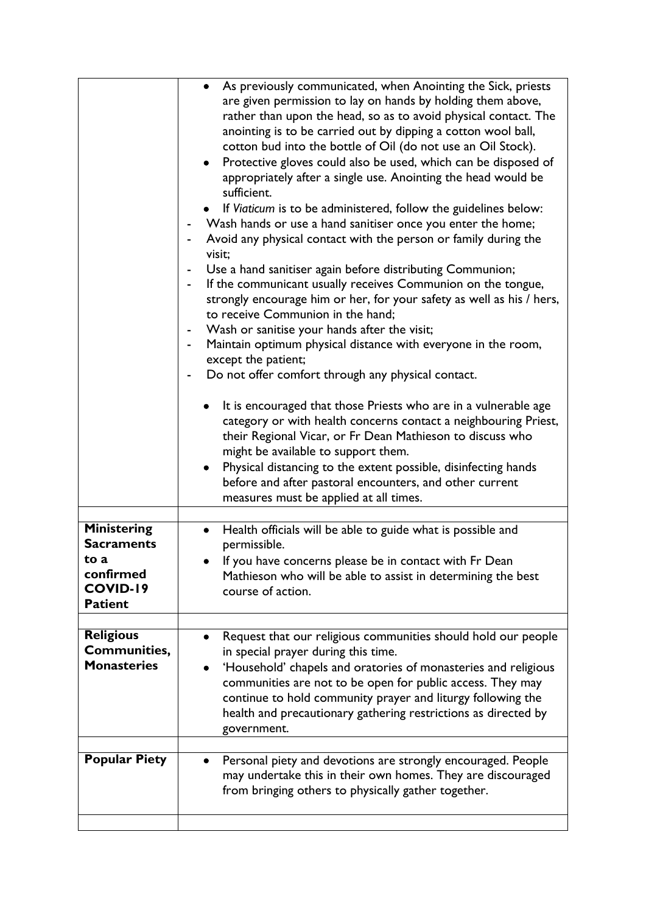|                                                        | As previously communicated, when Anointing the Sick, priests<br>$\bullet$<br>are given permission to lay on hands by holding them above,<br>rather than upon the head, so as to avoid physical contact. The<br>anointing is to be carried out by dipping a cotton wool ball,<br>cotton bud into the bottle of Oil (do not use an Oil Stock).<br>Protective gloves could also be used, which can be disposed of<br>$\bullet$<br>appropriately after a single use. Anointing the head would be<br>sufficient.<br>If Viaticum is to be administered, follow the guidelines below:<br>Wash hands or use a hand sanitiser once you enter the home;<br>Avoid any physical contact with the person or family during the<br>visit;<br>Use a hand sanitiser again before distributing Communion;<br>If the communicant usually receives Communion on the tongue,<br>strongly encourage him or her, for your safety as well as his / hers,<br>to receive Communion in the hand;<br>Wash or sanitise your hands after the visit;<br>Maintain optimum physical distance with everyone in the room,<br>except the patient;<br>Do not offer comfort through any physical contact.<br>It is encouraged that those Priests who are in a vulnerable age<br>category or with health concerns contact a neighbouring Priest,<br>their Regional Vicar, or Fr Dean Mathieson to discuss who<br>might be available to support them.<br>Physical distancing to the extent possible, disinfecting hands<br>before and after pastoral encounters, and other current<br>measures must be applied at all times. |
|--------------------------------------------------------|--------------------------------------------------------------------------------------------------------------------------------------------------------------------------------------------------------------------------------------------------------------------------------------------------------------------------------------------------------------------------------------------------------------------------------------------------------------------------------------------------------------------------------------------------------------------------------------------------------------------------------------------------------------------------------------------------------------------------------------------------------------------------------------------------------------------------------------------------------------------------------------------------------------------------------------------------------------------------------------------------------------------------------------------------------------------------------------------------------------------------------------------------------------------------------------------------------------------------------------------------------------------------------------------------------------------------------------------------------------------------------------------------------------------------------------------------------------------------------------------------------------------------------------------------------------------------------------|
| <b>Ministering</b>                                     | Health officials will be able to guide what is possible and<br>$\bullet$                                                                                                                                                                                                                                                                                                                                                                                                                                                                                                                                                                                                                                                                                                                                                                                                                                                                                                                                                                                                                                                                                                                                                                                                                                                                                                                                                                                                                                                                                                             |
| <b>Sacraments</b>                                      | permissible.                                                                                                                                                                                                                                                                                                                                                                                                                                                                                                                                                                                                                                                                                                                                                                                                                                                                                                                                                                                                                                                                                                                                                                                                                                                                                                                                                                                                                                                                                                                                                                         |
| to a<br>confirmed<br>COVID-19<br><b>Patient</b>        | If you have concerns please be in contact with Fr Dean<br>Mathieson who will be able to assist in determining the best<br>course of action.                                                                                                                                                                                                                                                                                                                                                                                                                                                                                                                                                                                                                                                                                                                                                                                                                                                                                                                                                                                                                                                                                                                                                                                                                                                                                                                                                                                                                                          |
|                                                        |                                                                                                                                                                                                                                                                                                                                                                                                                                                                                                                                                                                                                                                                                                                                                                                                                                                                                                                                                                                                                                                                                                                                                                                                                                                                                                                                                                                                                                                                                                                                                                                      |
| <b>Religious</b><br>Communities,<br><b>Monasteries</b> | Request that our religious communities should hold our people<br>in special prayer during this time.<br>'Household' chapels and oratories of monasteries and religious<br>communities are not to be open for public access. They may<br>continue to hold community prayer and liturgy following the<br>health and precautionary gathering restrictions as directed by<br>government.                                                                                                                                                                                                                                                                                                                                                                                                                                                                                                                                                                                                                                                                                                                                                                                                                                                                                                                                                                                                                                                                                                                                                                                                 |
| <b>Popular Piety</b>                                   | Personal piety and devotions are strongly encouraged. People                                                                                                                                                                                                                                                                                                                                                                                                                                                                                                                                                                                                                                                                                                                                                                                                                                                                                                                                                                                                                                                                                                                                                                                                                                                                                                                                                                                                                                                                                                                         |
|                                                        | may undertake this in their own homes. They are discouraged<br>from bringing others to physically gather together.                                                                                                                                                                                                                                                                                                                                                                                                                                                                                                                                                                                                                                                                                                                                                                                                                                                                                                                                                                                                                                                                                                                                                                                                                                                                                                                                                                                                                                                                   |
|                                                        |                                                                                                                                                                                                                                                                                                                                                                                                                                                                                                                                                                                                                                                                                                                                                                                                                                                                                                                                                                                                                                                                                                                                                                                                                                                                                                                                                                                                                                                                                                                                                                                      |